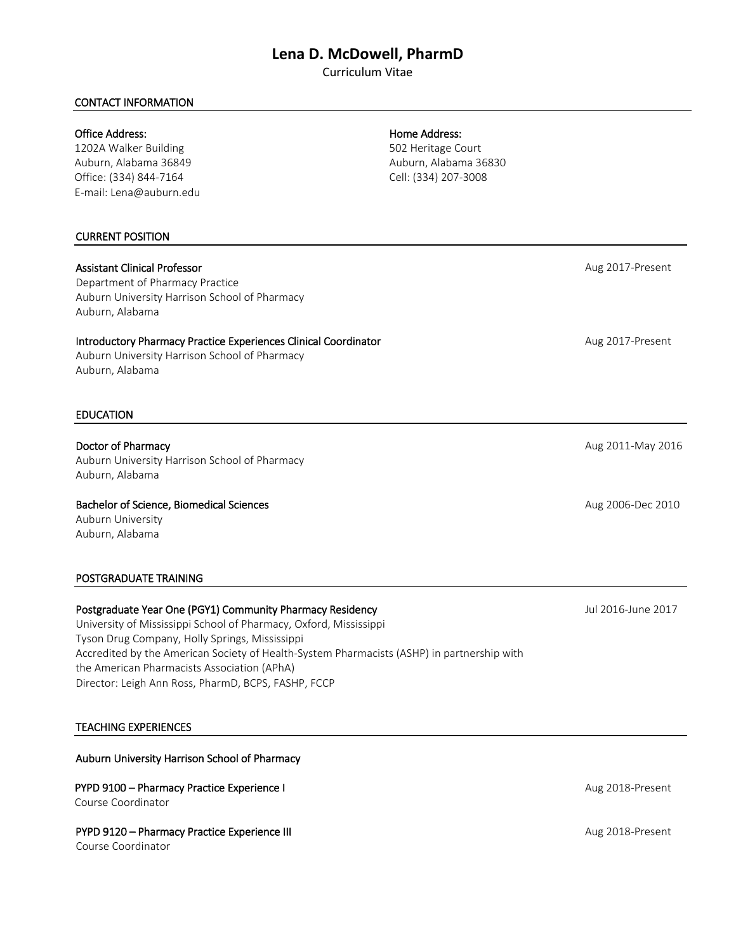# **Lena D. McDowell, PharmD**

Curriculum Vitae

# CONTACT INFORMATION

### Office Address:

1202A Walker Building Auburn, Alabama 36849 Office: (334) 844-7164 E-mail: Lena@auburn.edu

#### CURRENT POSITION

# Assistant Clinical Professor

Department of Pharmacy Practice Auburn University Harrison School of Pharmacy Auburn, Alabama

# Introductory Pharmacy Practice Experiences Clinical Coordinator

Auburn University Harrison School of Pharmacy Auburn, Alabama

#### EDUCATION

Doctor of Pharmacy Auburn University Harrison School of Pharmacy Auburn, Alabama

Bachelor of Science, Biomedical Sciences Auburn University Auburn, Alabama

### POSTGRADUATE TRAINING

Postgraduate Year One (PGY1) Community Pharmacy Residency University of Mississippi School of Pharmacy, Oxford, Mississippi Tyson Drug Company, Holly Springs, Mississippi Accredited by the American Society of Health-System Pharmacists (ASHP) in partnership with the American Pharmacists Association (APhA) Director: Leigh Ann Ross, PharmD, BCPS, FASHP, FCCP

#### TEACHING EXPERIENCES

#### Auburn University Harrison School of Pharmacy

#### PYPD 9100 – Pharmacy Practice Experience I Course Coordinator

# PYPD 9120 – Pharmacy Practice Experience III

Course Coordinator

### Home Address:

502 Heritage Court Auburn, Alabama 36830 Cell: (334) 207-3008

Aug 2017-Present

Aug 2017-Present

Aug 2011-May 2016

Aug 2006-Dec 2010

Jul 2016-June 2017

Aug 2018-Present

Aug 2018-Present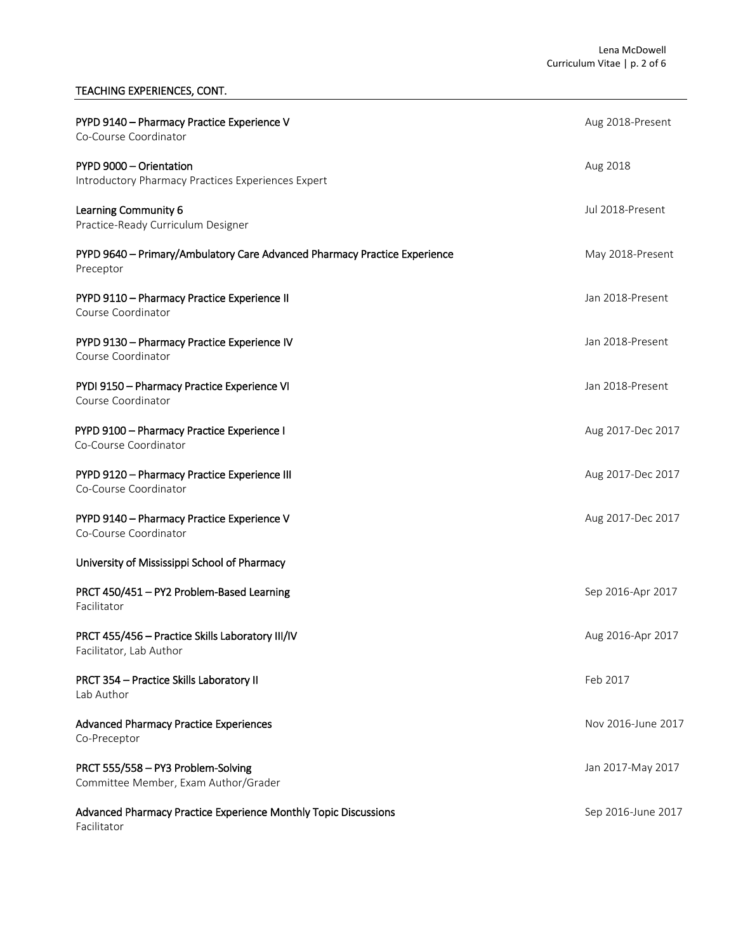# TEACHING EXPERIENCES, CONT.

| PYPD 9140 - Pharmacy Practice Experience V<br>Co-Course Coordinator                    | Aug 2018-Present   |
|----------------------------------------------------------------------------------------|--------------------|
| PYPD 9000 - Orientation<br>Introductory Pharmacy Practices Experiences Expert          | Aug 2018           |
| Learning Community 6<br>Practice-Ready Curriculum Designer                             | Jul 2018-Present   |
| PYPD 9640 - Primary/Ambulatory Care Advanced Pharmacy Practice Experience<br>Preceptor | May 2018-Present   |
| PYPD 9110 - Pharmacy Practice Experience II<br>Course Coordinator                      | Jan 2018-Present   |
| PYPD 9130 - Pharmacy Practice Experience IV<br>Course Coordinator                      | Jan 2018-Present   |
| PYDI 9150 - Pharmacy Practice Experience VI<br>Course Coordinator                      | Jan 2018-Present   |
| PYPD 9100 - Pharmacy Practice Experience I<br>Co-Course Coordinator                    | Aug 2017-Dec 2017  |
| PYPD 9120 - Pharmacy Practice Experience III<br>Co-Course Coordinator                  | Aug 2017-Dec 2017  |
| PYPD 9140 - Pharmacy Practice Experience V<br>Co-Course Coordinator                    | Aug 2017-Dec 2017  |
| University of Mississippi School of Pharmacy                                           |                    |
| PRCT 450/451 - PY2 Problem-Based Learning<br>Facilitator                               | Sep 2016-Apr 2017  |
| PRCT 455/456 - Practice Skills Laboratory III/IV<br>Facilitator, Lab Author            | Aug 2016-Apr 2017  |
| PRCT 354 - Practice Skills Laboratory II<br>Lab Author                                 | Feb 2017           |
| <b>Advanced Pharmacy Practice Experiences</b><br>Co-Preceptor                          | Nov 2016-June 2017 |
| PRCT 555/558 - PY3 Problem-Solving<br>Committee Member, Exam Author/Grader             | Jan 2017-May 2017  |
| Advanced Pharmacy Practice Experience Monthly Topic Discussions<br>Facilitator         | Sep 2016-June 2017 |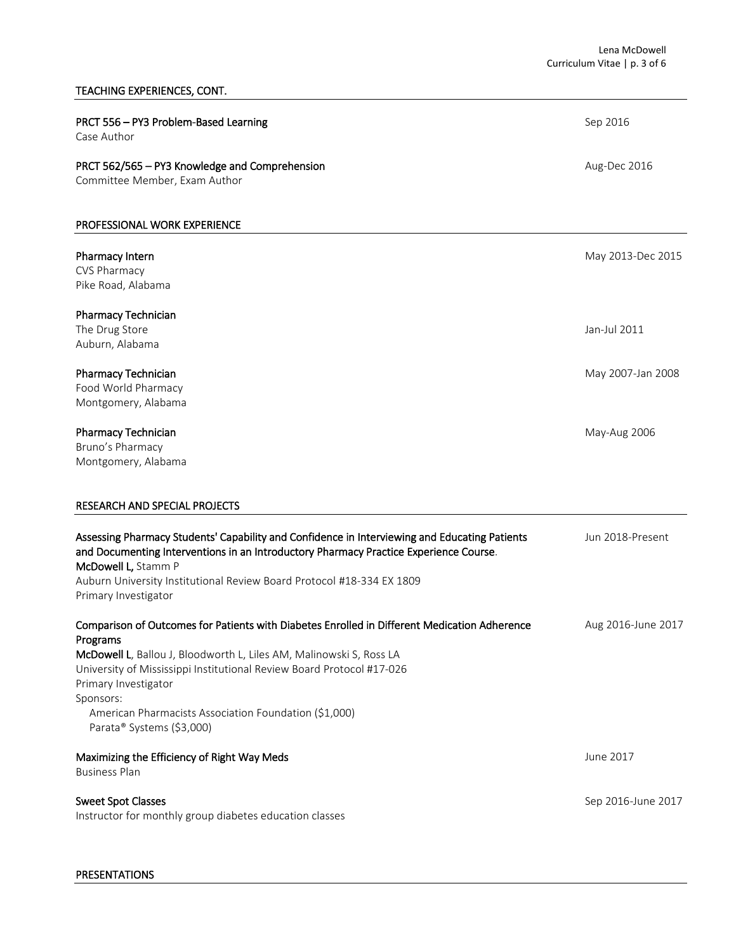# TEACHING EXPERIENCES, CONT.

| PRCT 556 - PY3 Problem-Based Learning<br>Case Author                                                                                                                                                                                                                                                                                                                                | Sep 2016           |
|-------------------------------------------------------------------------------------------------------------------------------------------------------------------------------------------------------------------------------------------------------------------------------------------------------------------------------------------------------------------------------------|--------------------|
| PRCT 562/565 - PY3 Knowledge and Comprehension<br>Committee Member, Exam Author                                                                                                                                                                                                                                                                                                     | Aug-Dec 2016       |
| PROFESSIONAL WORK EXPERIENCE                                                                                                                                                                                                                                                                                                                                                        |                    |
| Pharmacy Intern<br>CVS Pharmacy<br>Pike Road, Alabama                                                                                                                                                                                                                                                                                                                               | May 2013-Dec 2015  |
| Pharmacy Technician<br>The Drug Store<br>Auburn, Alabama                                                                                                                                                                                                                                                                                                                            | Jan-Jul 2011       |
| Pharmacy Technician<br>Food World Pharmacy<br>Montgomery, Alabama                                                                                                                                                                                                                                                                                                                   | May 2007-Jan 2008  |
| Pharmacy Technician<br>Bruno's Pharmacy<br>Montgomery, Alabama                                                                                                                                                                                                                                                                                                                      | May-Aug 2006       |
| RESEARCH AND SPECIAL PROJECTS                                                                                                                                                                                                                                                                                                                                                       |                    |
| Assessing Pharmacy Students' Capability and Confidence in Interviewing and Educating Patients<br>and Documenting Interventions in an Introductory Pharmacy Practice Experience Course.<br>McDowell L, Stamm P<br>Auburn University Institutional Review Board Protocol #18-334 EX 1809<br>Primary Investigator                                                                      | Jun 2018-Present   |
| Comparison of Outcomes for Patients with Diabetes Enrolled in Different Medication Adherence<br>Programs<br>McDowell L, Ballou J, Bloodworth L, Liles AM, Malinowski S, Ross LA<br>University of Mississippi Institutional Review Board Protocol #17-026<br>Primary Investigator<br>Sponsors:<br>American Pharmacists Association Foundation (\$1,000)<br>Parata® Systems (\$3,000) | Aug 2016-June 2017 |
| Maximizing the Efficiency of Right Way Meds<br><b>Business Plan</b>                                                                                                                                                                                                                                                                                                                 | June 2017          |
| <b>Sweet Spot Classes</b><br>Instructor for monthly group diabetes education classes                                                                                                                                                                                                                                                                                                | Sep 2016-June 2017 |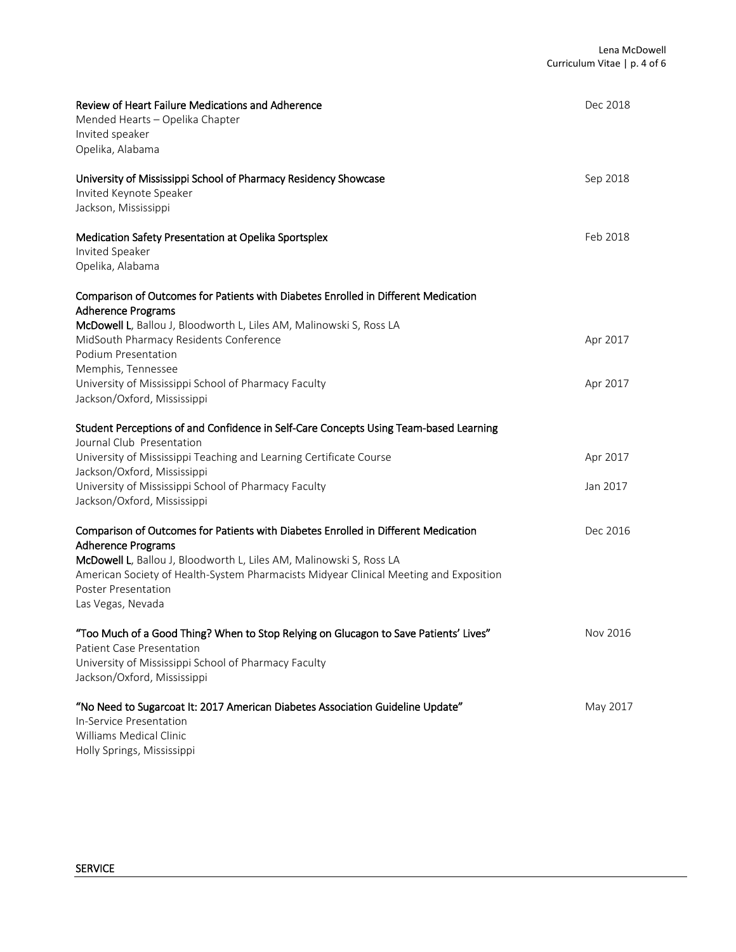| Review of Heart Failure Medications and Adherence<br>Mended Hearts - Opelika Chapter<br>Invited speaker<br>Opelika, Alabama                                                                                     | Dec 2018 |
|-----------------------------------------------------------------------------------------------------------------------------------------------------------------------------------------------------------------|----------|
| University of Mississippi School of Pharmacy Residency Showcase<br>Invited Keynote Speaker<br>Jackson, Mississippi                                                                                              | Sep 2018 |
| Medication Safety Presentation at Opelika Sportsplex<br>Invited Speaker<br>Opelika, Alabama                                                                                                                     | Feb 2018 |
| Comparison of Outcomes for Patients with Diabetes Enrolled in Different Medication<br><b>Adherence Programs</b>                                                                                                 |          |
| McDowell L, Ballou J, Bloodworth L, Liles AM, Malinowski S, Ross LA<br>MidSouth Pharmacy Residents Conference<br>Podium Presentation                                                                            | Apr 2017 |
| Memphis, Tennessee<br>University of Mississippi School of Pharmacy Faculty<br>Jackson/Oxford, Mississippi                                                                                                       | Apr 2017 |
| Student Perceptions of and Confidence in Self-Care Concepts Using Team-based Learning<br>Journal Club Presentation                                                                                              |          |
| University of Mississippi Teaching and Learning Certificate Course<br>Jackson/Oxford, Mississippi                                                                                                               | Apr 2017 |
| University of Mississippi School of Pharmacy Faculty<br>Jackson/Oxford, Mississippi                                                                                                                             | Jan 2017 |
| Comparison of Outcomes for Patients with Diabetes Enrolled in Different Medication<br><b>Adherence Programs</b>                                                                                                 | Dec 2016 |
| McDowell L, Ballou J, Bloodworth L, Liles AM, Malinowski S, Ross LA<br>American Society of Health-System Pharmacists Midyear Clinical Meeting and Exposition<br>Poster Presentation<br>Las Vegas, Nevada        |          |
| "Too Much of a Good Thing? When to Stop Relying on Glucagon to Save Patients' Lives"<br><b>Patient Case Presentation</b><br>University of Mississippi School of Pharmacy Faculty<br>Jackson/Oxford, Mississippi | Nov 2016 |
| "No Need to Sugarcoat It: 2017 American Diabetes Association Guideline Update"<br>In-Service Presentation<br>Williams Medical Clinic<br>Holly Springs, Mississippi                                              | May 2017 |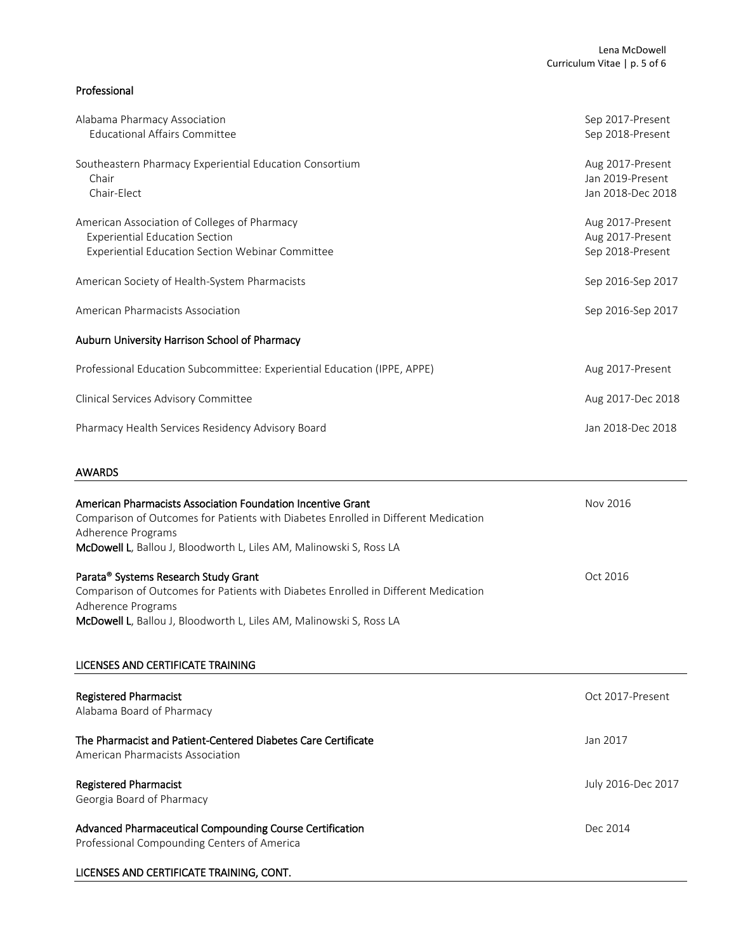# Professional

| Jan 2018-Dec 2018                     |
|---------------------------------------|
| Aug 2017-Dec 2018                     |
| Aug 2017-Present                      |
|                                       |
| Sep 2016-Sep 2017                     |
| Sep 2016-Sep 2017                     |
| Sep 2018-Present                      |
| Aug 2017-Present<br>Aug 2017-Present  |
| Jan 2019-Present<br>Jan 2018-Dec 2018 |
| Aug 2017-Present                      |
| Sep 2017-Present<br>Sep 2018-Present  |
|                                       |

| Allieficali Filamiacists Association Foundation incentive Grant<br>Comparison of Outcomes for Patients with Diabetes Enrolled in Different Medication<br>Adherence Programs                                             | IVUV ZUIU          |
|-------------------------------------------------------------------------------------------------------------------------------------------------------------------------------------------------------------------------|--------------------|
| McDowell L, Ballou J, Bloodworth L, Liles AM, Malinowski S, Ross LA                                                                                                                                                     |                    |
| Parata® Systems Research Study Grant<br>Comparison of Outcomes for Patients with Diabetes Enrolled in Different Medication<br>Adherence Programs<br>McDowell L, Ballou J, Bloodworth L, Liles AM, Malinowski S, Ross LA | Oct 2016           |
| LICENSES AND CERTIFICATE TRAINING                                                                                                                                                                                       |                    |
| <b>Registered Pharmacist</b><br>Alabama Board of Pharmacy                                                                                                                                                               | Oct 2017-Present   |
| The Pharmacist and Patient-Centered Diabetes Care Certificate<br>American Pharmacists Association                                                                                                                       | Jan 2017           |
| <b>Registered Pharmacist</b><br>Georgia Board of Pharmacy                                                                                                                                                               | July 2016-Dec 2017 |
| Advanced Pharmaceutical Compounding Course Certification<br>Professional Compounding Centers of America                                                                                                                 | Dec 2014           |
| LICENSES AND CERTIFICATE TRAINING, CONT.                                                                                                                                                                                |                    |